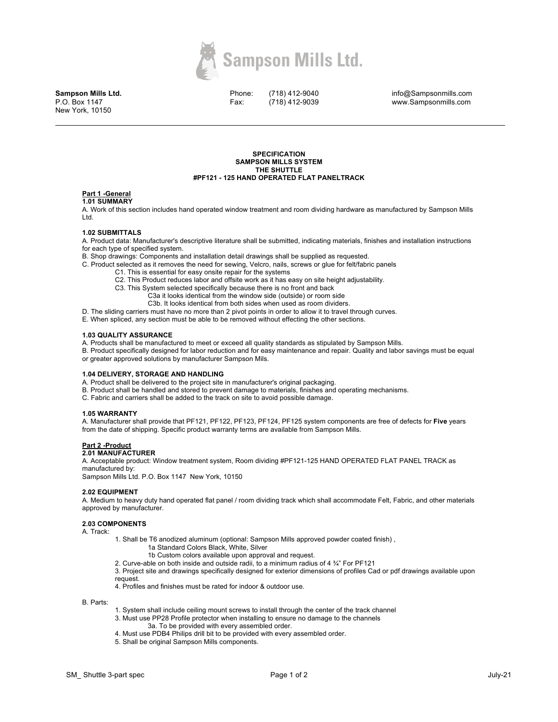

**Sampson Mills Ltd.** P.O. Box 1147 New York, 10150

Phone: Fax:

(718) 412-9040 (718) 412-9039 info@Sampsonmills.com www.Sampsonmills.com

#### **SPECIFICATION SAMPSON MILLS SYSTEM THE SHUTTLE #PF121 - 125 HAND OPERATED FLAT PANELTRACK**

# **Part 1 -General**

#### **1.01 SUMMARY**

A. Work of this section includes hand operated window treatment and room dividing hardware as manufactured by Sampson Mills Ltd.

# **1.02 SUBMITTALS**

A. Product data: Manufacturer's descriptive literature shall be submitted, indicating materials, finishes and installation instructions for each type of specified system.

B. Shop drawings: Components and installation detail drawings shall be supplied as requested.

- C. Product selected as it removes the need for sewing, Velcro, nails, screws or glue for felt/fabric panels
	- C1. This is essential for easy onsite repair for the systems
	- C2. This Product reduces labor and offsite work as it has easy on site height adjustability.
	- C3. This System selected specifically because there is no front and back
		- C3a it looks identical from the window side (outside) or room side
			- C3b. It looks identical from both sides when used as room dividers.
- D. The sliding carriers must have no more than 2 pivot points in order to allow it to travel through curves.
- E. When spliced, any section must be able to be removed without effecting the other sections.

# **1.03 QUALITY ASSURANCE**

- A. Products shall be manufactured to meet or exceed all quality standards as stipulated by Sampson Mills.
- B. Product specifically designed for labor reduction and for easy maintenance and repair. Quality and labor savings must be equal or greater approved solutions by manufacturer Sampson Mils.

## **1.04 DELIVERY, STORAGE AND HANDLING**

- A. Product shall be delivered to the project site in manufacturer's original packaging.
- B. Product shall be handled and stored to prevent damage to materials, finishes and operating mechanisms.
- C. Fabric and carriers shall be added to the track on site to avoid possible damage.

## **1.05 WARRANTY**

A. Manufacturer shall provide that PF121, PF122, PF123, PF124, PF125 system components are free of defects for **Five** years from the date of shipping. Specific product warranty terms are available from Sampson Mills.

# **Part 2 -Product**

# **2.01 MANUFACTURER**

A. Acceptable product: Window treatment system, Room dividing #PF121-125 HAND OPERATED FLAT PANEL TRACK as manufactured by: Sampson Mills Ltd. P.O. Box 1147 New York, 10150

# **2.02 EQUIPMENT**

A. Medium to heavy duty hand operated flat panel / room dividing track which shall accommodate Felt, Fabric, and other materials approved by manufacturer.

# **2.03 COMPONENTS**

A. Track:

- 1. Shall be T6 anodized aluminum (optional: Sampson Mills approved powder coated finish) , 1a Standard Colors Black, White, Silver
	- 1b Custom colors available upon approval and request.
	- 2. Curve-able on both inside and outside radii, to a minimum radius of 4 ¾" For PF121
- 3. Project site and drawings specifically designed for exterior dimensions of profiles Cad or pdf drawings available upon request.
- 4. Profiles and finishes must be rated for indoor & outdoor use.

B. Parts:

- 1. System shall include ceiling mount screws to install through the center of the track channel
- 3. Must use PP28 Profile protector when installing to ensure no damage to the channels 3a. To be provided with every assembled order.
- 4. Must use PDB4 Philips drill bit to be provided with every assembled order.
- 5. Shall be original Sampson Mills components.